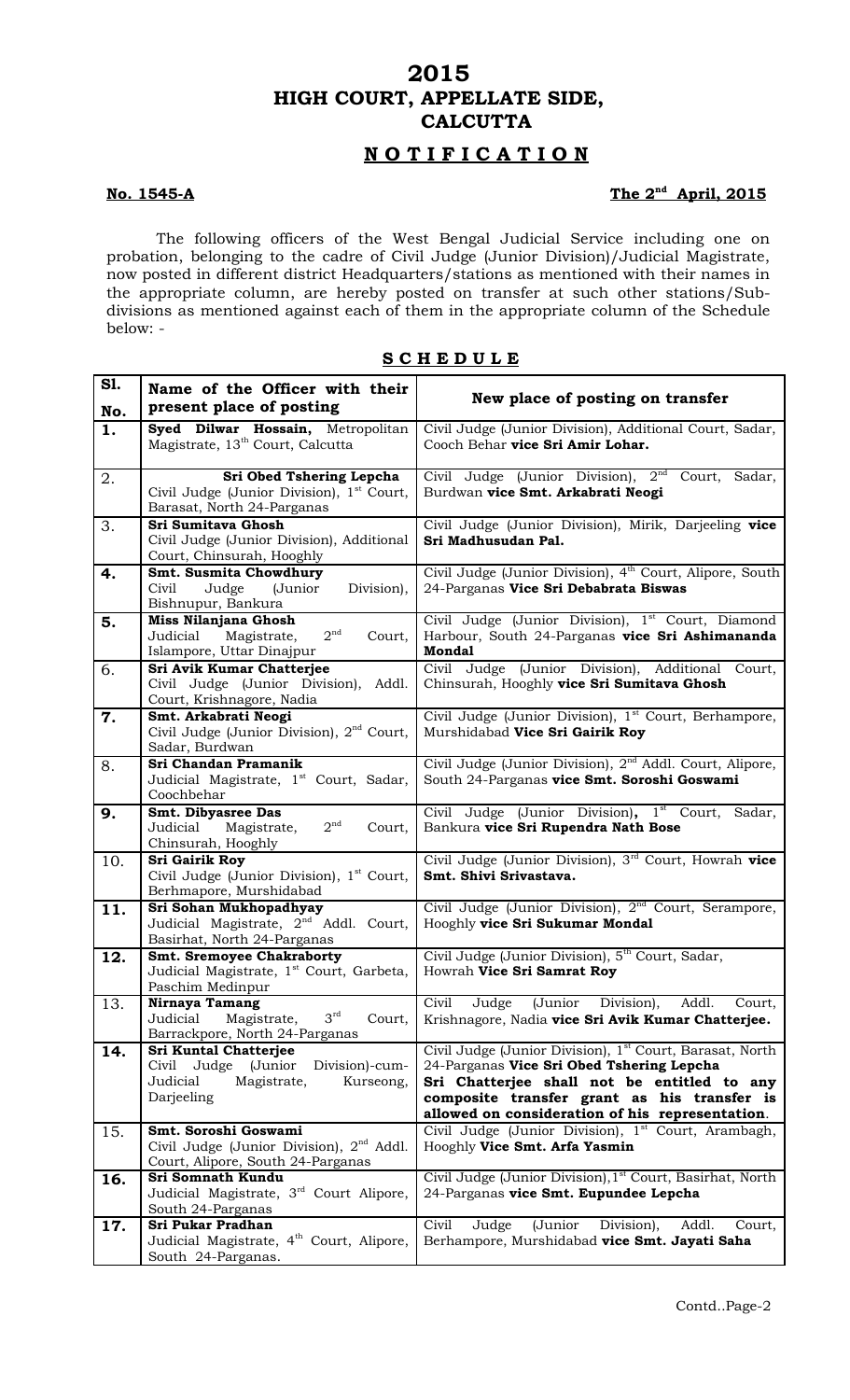# **2015 HIGH COURT, APPELLATE SIDE, CALCUTTA**

# **N O T I F I C A T I O N**

## **No. 1545-A**

# The 2<sup>nd</sup> April, 2015

The following officers of the West Bengal Judicial Service including one on probation, belonging to the cadre of Civil Judge (Junior Division)/Judicial Magistrate, now posted in different district Headquarters/stations as mentioned with their names in the appropriate column, are hereby posted on transfer at such other stations/Subdivisions as mentioned against each of them in the appropriate column of the Schedule below: -

| S ( | снеј | ו מ |  | u c |
|-----|------|-----|--|-----|
|     |      |     |  |     |

| S1. | Name of the Officer with their                                                           |                                                                                                    |
|-----|------------------------------------------------------------------------------------------|----------------------------------------------------------------------------------------------------|
| No. | present place of posting                                                                 | New place of posting on transfer                                                                   |
| 1.  | Syed Dilwar Hossain, Metropolitan                                                        | Civil Judge (Junior Division), Additional Court, Sadar,                                            |
|     | Magistrate, 13 <sup>th</sup> Court, Calcutta                                             | Cooch Behar vice Sri Amir Lohar.                                                                   |
| 2.  | Sri Obed Tshering Lepcha                                                                 | Civil Judge (Junior Division), 2 <sup>nd</sup> Court, Sadar,                                       |
|     | Civil Judge (Junior Division), 1 <sup>st</sup> Court,<br>Barasat, North 24-Parganas      | Burdwan vice Smt. Arkabrati Neogi                                                                  |
| 3.  | Sri Sumitava Ghosh                                                                       | Civil Judge (Junior Division), Mirik, Darjeeling vice                                              |
|     | Civil Judge (Junior Division), Additional                                                | Sri Madhusudan Pal.                                                                                |
|     | Court, Chinsurah, Hooghly                                                                |                                                                                                    |
| 4.  | Smt. Susmita Chowdhury                                                                   | Civil Judge (Junior Division), 4 <sup>th</sup> Court, Alipore, South                               |
|     | Civil<br>Judge<br>(Junior<br>Division),<br>Bishnupur, Bankura                            | 24-Parganas Vice Sri Debabrata Biswas                                                              |
| 5.  | <b>Miss Nilanjana Ghosh</b>                                                              | Civil Judge (Junior Division), 1 <sup>st</sup> Court, Diamond                                      |
|     | 2 <sup>nd</sup><br>Judicial<br>Magistrate,<br>Court,                                     | Harbour, South 24-Parganas vice Sri Ashimananda                                                    |
|     | Islampore, Uttar Dinajpur                                                                | <b>Mondal</b>                                                                                      |
| 6.  | Sri Avik Kumar Chatterjee                                                                | Civil Judge (Junior Division), Additional Court,                                                   |
|     | Civil Judge (Junior Division), Addl.<br>Court, Krishnagore, Nadia                        | Chinsurah, Hooghly vice Sri Sumitava Ghosh                                                         |
| 7.  | Smt. Arkabrati Neogi                                                                     | Civil Judge (Junior Division), 1 <sup>st</sup> Court, Berhampore,                                  |
|     | Civil Judge (Junior Division), 2 <sup>nd</sup> Court,                                    | Murshidabad Vice Sri Gairik Roy                                                                    |
|     | Sadar, Burdwan                                                                           |                                                                                                    |
| 8.  | Sri Chandan Pramanik                                                                     | Civil Judge (Junior Division), 2 <sup>nd</sup> Addl. Court, Alipore,                               |
|     | Judicial Magistrate, 1 <sup>st</sup> Court, Sadar,<br>Coochbehar                         | South 24-Parganas vice Smt. Soroshi Goswami                                                        |
| 9.  | Smt. Dibyasree Das                                                                       | Civil Judge (Junior Division), 1 <sup>st</sup> Court, Sadar,                                       |
|     | 2 <sup>nd</sup><br>Judicial<br>Magistrate,<br>Court,                                     | Bankura vice Sri Rupendra Nath Bose                                                                |
|     | Chinsurah, Hooghly                                                                       |                                                                                                    |
| 10. | Sri Gairik Roy                                                                           | Civil Judge (Junior Division), 3 <sup>rd</sup> Court, Howrah vice                                  |
|     | Civil Judge (Junior Division), 1 <sup>st</sup> Court,<br>Berhmapore, Murshidabad         | Smt. Shivi Srivastava.                                                                             |
| 11. | Sri Sohan Mukhopadhyay                                                                   | Civil Judge (Junior Division), 2 <sup>nd</sup> Court, Serampore,                                   |
|     | Judicial Magistrate, 2 <sup>nd</sup> Addl. Court,                                        | Hooghly vice Sri Sukumar Mondal                                                                    |
|     | Basirhat, North 24-Parganas                                                              |                                                                                                    |
| 12. | <b>Smt. Sremoyee Chakraborty</b><br>Judicial Magistrate, 1 <sup>st</sup> Court, Garbeta, | Civil Judge (Junior Division), 5 <sup>th</sup> Court, Sadar,<br>Howrah Vice Sri Samrat Roy         |
|     | Paschim Medinpur                                                                         |                                                                                                    |
| 13. | Nirnaya Tamang                                                                           | Civil<br>Judge (Junior Division),<br>Addl.<br>Court,                                               |
|     | $3^{\text{rd}}$<br>Judicial<br>Magistrate,<br>Court,                                     | Krishnagore, Nadia vice Sri Avik Kumar Chatterjee.                                                 |
|     | Barrackpore, North 24-Parganas<br><b>Sri Kuntal Chatterjee</b>                           | Civil Judge (Junior Division), 1 <sup>st</sup> Court, Barasat, North                               |
| 14. | Civil Judge (Junior<br>Division)-cum-                                                    | 24-Parganas Vice Sri Obed Tshering Lepcha                                                          |
|     | Judicial<br>Magistrate,<br>Kurseong,                                                     | Sri Chatterjee shall not be entitled to any                                                        |
|     | Darjeeling                                                                               | composite transfer grant as his transfer is                                                        |
|     |                                                                                          | allowed on consideration of his representation.                                                    |
| 15. | Smt. Soroshi Goswami<br>Civil Judge (Junior Division), 2 <sup>nd</sup> Addl.             | Civil Judge (Junior Division), 1 <sup>st</sup> Court, Arambagh,<br>Hooghly Vice Smt. Arfa Yasmin   |
|     | Court, Alipore, South 24-Parganas                                                        |                                                                                                    |
| 16. | Sri Somnath Kundu                                                                        | Civil Judge (Junior Division), 1 <sup>st</sup> Court, Basirhat, North                              |
|     | Judicial Magistrate, 3 <sup>rd</sup> Court Alipore,                                      | 24-Parganas vice Smt. Eupundee Lepcha                                                              |
|     | South 24-Parganas<br>Sri Pukar Pradhan                                                   | Civil                                                                                              |
| 17. | Judicial Magistrate, 4 <sup>th</sup> Court, Alipore,                                     | Judge<br>(Junior<br>Division),<br>Addl.<br>Court,<br>Berhampore, Murshidabad vice Smt. Jayati Saha |
|     | South 24-Parganas.                                                                       |                                                                                                    |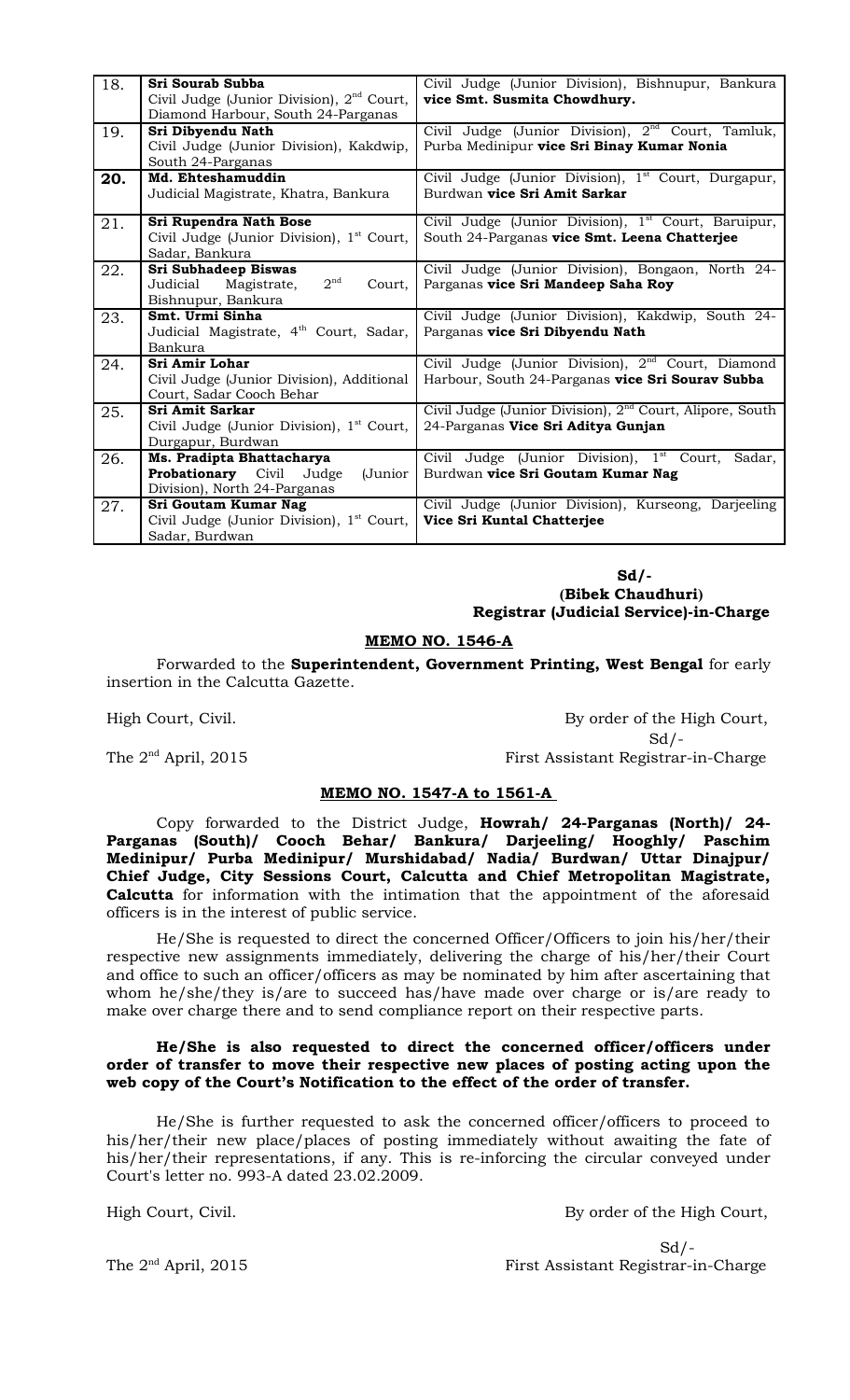| 18. | Sri Sourab Subba<br>Civil Judge (Junior Division), 2 <sup>nd</sup> Court,<br>Diamond Harbour, South 24-Parganas | Civil Judge (Junior Division), Bishnupur, Bankura<br>vice Smt. Susmita Chowdhury.                               |
|-----|-----------------------------------------------------------------------------------------------------------------|-----------------------------------------------------------------------------------------------------------------|
| 19. | Sri Dibyendu Nath<br>Civil Judge (Junior Division), Kakdwip,<br>South 24-Parganas                               | Civil Judge (Junior Division), 2 <sup>nd</sup> Court, Tamluk,<br>Purba Medinipur vice Sri Binay Kumar Nonia     |
| 20. | Md. Ehteshamuddin<br>Judicial Magistrate, Khatra, Bankura                                                       | Civil Judge (Junior Division), 1 <sup>st</sup> Court, Durgapur,<br>Burdwan vice Sri Amit Sarkar                 |
| 21. | Sri Rupendra Nath Bose<br>Civil Judge (Junior Division), 1 <sup>st</sup> Court,<br>Sadar, Bankura               | Civil Judge (Junior Division), 1 <sup>st</sup> Court, Baruipur,<br>South 24-Parganas vice Smt. Leena Chatterjee |
| 22. | Sri Subhadeep Biswas<br>2 <sup>nd</sup><br>Judicial<br>Magistrate,<br>Court,<br>Bishnupur, Bankura              | Civil Judge (Junior Division), Bongaon, North 24-<br>Parganas vice Sri Mandeep Saha Roy                         |
| 23. | Smt. Urmi Sinha<br>Judicial Magistrate, 4 <sup>th</sup> Court, Sadar,<br>Bankura                                | Civil Judge (Junior Division), Kakdwip, South 24-<br>Parganas vice Sri Dibyendu Nath                            |
| 24. | Sri Amir Lohar<br>Civil Judge (Junior Division), Additional<br>Court, Sadar Cooch Behar                         | Civil Judge (Junior Division), $2nd$ Court, Diamond<br>Harbour, South 24-Parganas vice Sri Sourav Subba         |
| 25. | <b>Sri Amit Sarkar</b><br>Civil Judge (Junior Division), 1 <sup>st</sup> Court,<br>Durgapur, Burdwan            | Civil Judge (Junior Division), 2 <sup>nd</sup> Court, Alipore, South<br>24-Parganas Vice Sri Aditya Gunjan      |
| 26. | Ms. Pradipta Bhattacharya<br><b>Probationary</b> Civil Judge<br>(Junior<br>Division), North 24-Parganas         | Civil Judge (Junior Division), 1 <sup>st</sup> Court,<br>Sadar,<br>Burdwan vice Sri Goutam Kumar Nag            |
| 27. | Sri Goutam Kumar Nag<br>Civil Judge (Junior Division), 1 <sup>st</sup> Court,<br>Sadar, Burdwan                 | Civil Judge (Junior Division), Kurseong, Darjeeling<br>Vice Sri Kuntal Chatterjee                               |

 **Sd/- (Bibek Chaudhuri) Registrar (Judicial Service)-in-Charge**

#### **MEMO NO. 1546-A**

Forwarded to the **Superintendent, Government Printing, West Bengal** for early insertion in the Calcutta Gazette.

High Court, Civil. By order of the High Court,  $Sd$  /-The 2<sup>nd</sup> April, 2015 First Assistant Registrar-in-Charge

## **MEMO NO. 1547-A to 1561-A**

Copy forwarded to the District Judge, **Howrah/ 24-Parganas (North)/ 24- Parganas (South)/ Cooch Behar/ Bankura/ Darjeeling/ Hooghly/ Paschim Medinipur/ Purba Medinipur/ Murshidabad/ Nadia/ Burdwan/ Uttar Dinajpur/ Chief Judge, City Sessions Court, Calcutta and Chief Metropolitan Magistrate, Calcutta** for information with the intimation that the appointment of the aforesaid officers is in the interest of public service.

He/She is requested to direct the concerned Officer/Officers to join his/her/their respective new assignments immediately, delivering the charge of his/her/their Court and office to such an officer/officers as may be nominated by him after ascertaining that whom he/she/they is/are to succeed has/have made over charge or is/are ready to make over charge there and to send compliance report on their respective parts.

#### **He/She is also requested to direct the concerned officer/officers under order of transfer to move their respective new places of posting acting upon the web copy of the Court's Notification to the effect of the order of transfer.**

He/She is further requested to ask the concerned officer/officers to proceed to his/her/their new place/places of posting immediately without awaiting the fate of his/her/their representations, if any. This is re-inforcing the circular conveyed under Court's letter no. 993-A dated 23.02.2009.

High Court, Civil. **By order of the High Court**,

 $Sd$  /-The 2<sup>nd</sup> April, 2015 First Assistant Registrar-in-Charge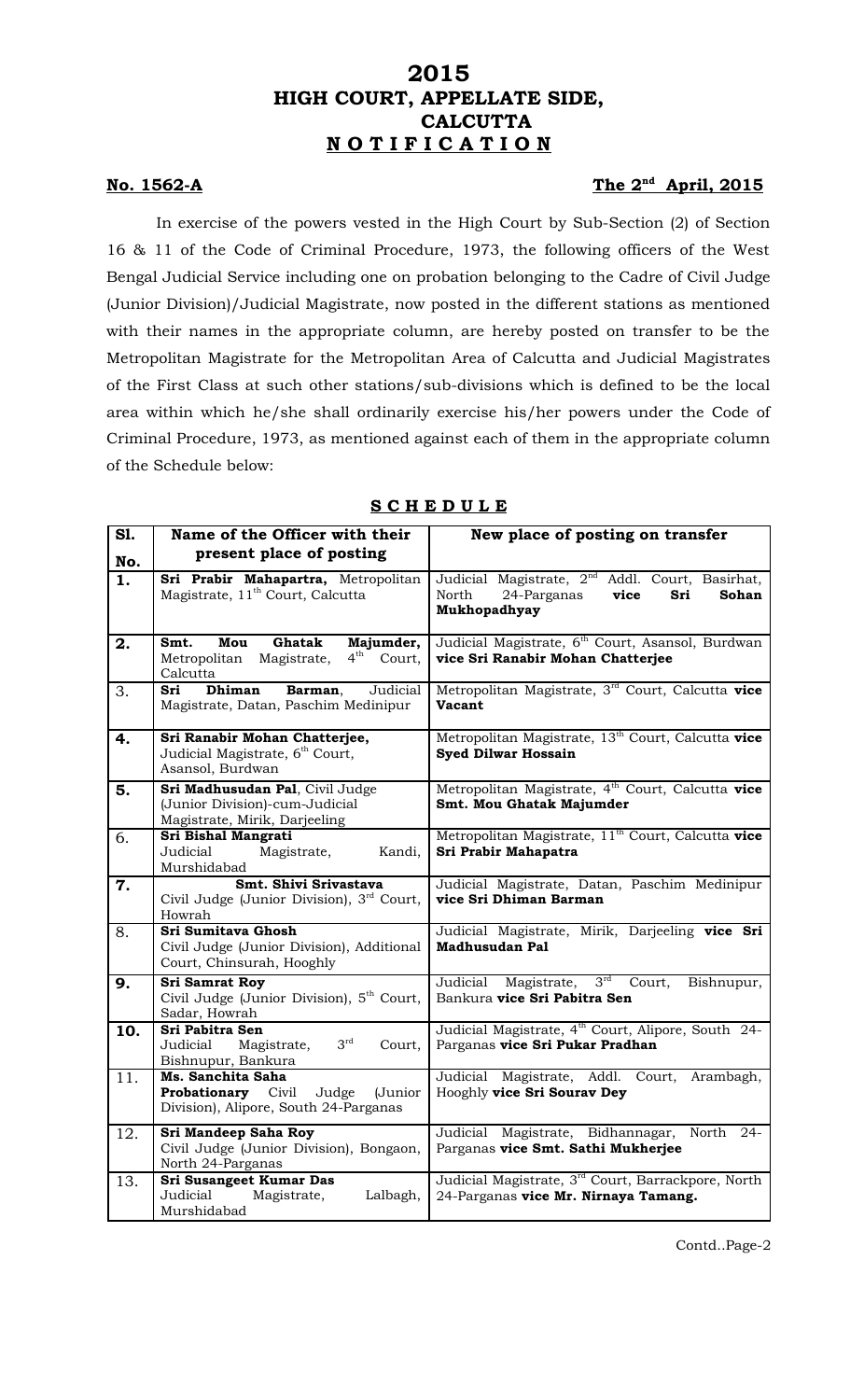# **2015 HIGH COURT, APPELLATE SIDE, CALCUTTA N O T I F I C A T I O N**

## **No. 1562-A**

## The 2<sup>nd</sup> April, 2015

In exercise of the powers vested in the High Court by Sub-Section (2) of Section 16 & 11 of the Code of Criminal Procedure, 1973, the following officers of the West Bengal Judicial Service including one on probation belonging to the Cadre of Civil Judge (Junior Division)/Judicial Magistrate, now posted in the different stations as mentioned with their names in the appropriate column, are hereby posted on transfer to be the Metropolitan Magistrate for the Metropolitan Area of Calcutta and Judicial Magistrates of the First Class at such other stations/sub-divisions which is defined to be the local area within which he/she shall ordinarily exercise his/her powers under the Code of Criminal Procedure, 1973, as mentioned against each of them in the appropriate column of the Schedule below:

| S1.       | Name of the Officer with their<br>present place of posting                                                  | New place of posting on transfer                                                                                            |
|-----------|-------------------------------------------------------------------------------------------------------------|-----------------------------------------------------------------------------------------------------------------------------|
| No.<br>1. | Sri Prabir Mahapartra, Metropolitan<br>Magistrate, 11 <sup>th</sup> Court, Calcutta                         | Judicial Magistrate, 2 <sup>nd</sup> Addl. Court, Basirhat,<br>North<br>vice<br>24-Parganas<br>Sri<br>Sohan<br>Mukhopadhyay |
| 2.        | Majumder,<br>Mou<br>Ghatak<br>Smt.<br>$4^{\text{th}}$<br>Court,<br>Metropolitan Magistrate,<br>Calcutta     | Judicial Magistrate, 6 <sup>th</sup> Court, Asansol, Burdwan<br>vice Sri Ranabir Mohan Chatterjee                           |
| 3.        | <b>Dhiman</b><br>Judicial<br>Sri<br>Barman,<br>Magistrate, Datan, Paschim Medinipur                         | Metropolitan Magistrate, 3 <sup>rd</sup> Court, Calcutta vice<br>Vacant                                                     |
| 4.        | Sri Ranabir Mohan Chatterjee,<br>Judicial Magistrate, 6 <sup>th</sup> Court,<br>Asansol, Burdwan            | Metropolitan Magistrate, 13 <sup>th</sup> Court, Calcutta vice<br><b>Syed Dilwar Hossain</b>                                |
| 5.        | Sri Madhusudan Pal, Civil Judge<br>(Junior Division)-cum-Judicial<br>Magistrate, Mirik, Darjeeling          | Metropolitan Magistrate, 4 <sup>th</sup> Court, Calcutta vice<br>Smt. Mou Ghatak Majumder                                   |
| 6.        | Sri Bishal Mangrati<br>Judicial<br>Magistrate,<br>Kandi,<br>Murshidabad                                     | Metropolitan Magistrate, 11 <sup>th</sup> Court, Calcutta vice<br>Sri Prabir Mahapatra                                      |
| 7.        | Smt. Shivi Srivastava<br>Civil Judge (Junior Division), 3rd Court,<br>Howrah                                | Judicial Magistrate, Datan, Paschim Medinipur<br>vice Sri Dhiman Barman                                                     |
| 8.        | Sri Sumitava Ghosh<br>Civil Judge (Junior Division), Additional<br>Court, Chinsurah, Hooghly                | Judicial Magistrate, Mirik, Darjeeling vice Sri<br><b>Madhusudan Pal</b>                                                    |
| 9.        | Sri Samrat Roy<br>Civil Judge (Junior Division), 5 <sup>th</sup> Court,<br>Sadar, Howrah                    | 3 <sup>rd</sup><br>Judicial<br>Magistrate,<br>Court,<br>Bishnupur,<br>Bankura vice Sri Pabitra Sen                          |
| 10.       | Sri Pabitra Sen<br>$3^{\text{rd}}$<br>Court,<br>Judicial<br>Magistrate,<br>Bishnupur, Bankura               | Judicial Magistrate, 4 <sup>th</sup> Court, Alipore, South 24-<br>Parganas vice Sri Pukar Pradhan                           |
| 11.       | Ms. Sanchita Saha<br><b>Probationary</b> Civil<br>Judge<br>(Junior<br>Division), Alipore, South 24-Parganas | Judicial Magistrate, Addl. Court, Arambagh,<br>Hooghly vice Sri Sourav Dey                                                  |
| 12.       | Sri Mandeep Saha Roy<br>Civil Judge (Junior Division), Bongaon,<br>North 24-Parganas                        | Judicial Magistrate, Bidhannagar, North 24-<br>Parganas vice Smt. Sathi Mukherjee                                           |
| 13.       | Sri Susangeet Kumar Das<br>Judicial<br>Magistrate,<br>Lalbagh,<br>Murshidabad                               | Judicial Magistrate, 3 <sup>rd</sup> Court, Barrackpore, North<br>24-Parganas vice Mr. Nirnaya Tamang.                      |

## **S C H E D U L E**

Contd..Page-2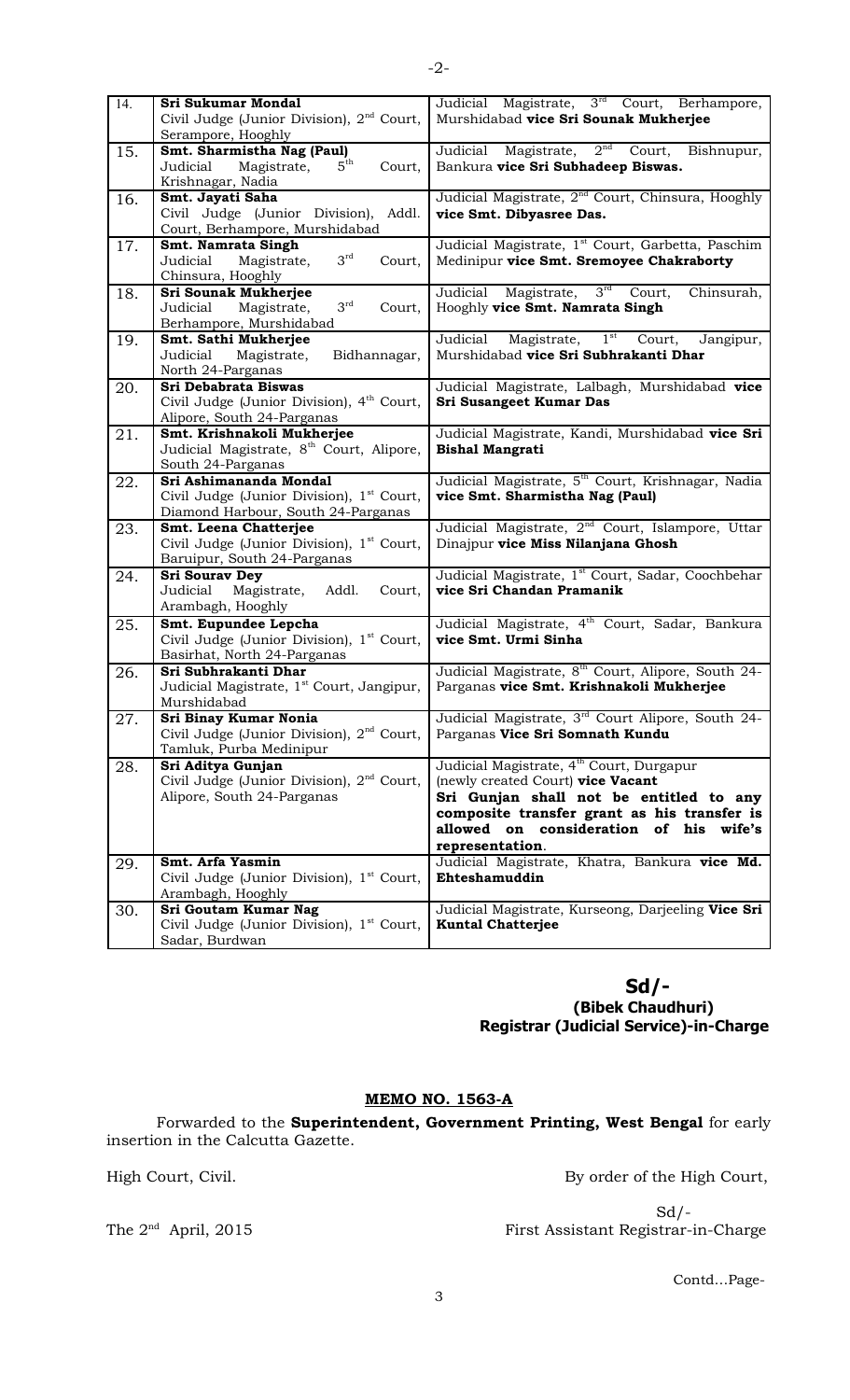| 14. | Sri Sukumar Mondal                                    | Judicial Magistrate, 3rd Court, Berhampore,                     |
|-----|-------------------------------------------------------|-----------------------------------------------------------------|
|     | Civil Judge (Junior Division), 2 <sup>nd</sup> Court, | Murshidabad vice Sri Sounak Mukherjee                           |
|     | Serampore, Hooghly                                    |                                                                 |
| 15. | Smt. Sharmistha Nag (Paul)                            | Magistrate, 2 <sup>nd</sup> Court, Bishnupur,<br>Judicial       |
|     | $5^{\text{th}}$<br>Judicial                           |                                                                 |
|     | Magistrate,<br>Court,                                 | Bankura vice Sri Subhadeep Biswas.                              |
|     | Krishnagar, Nadia                                     |                                                                 |
| 16. | Smt. Jayati Saha                                      | Judicial Magistrate, 2 <sup>nd</sup> Court, Chinsura, Hooghly   |
|     | Civil Judge (Junior Division),<br>Addl.               | vice Smt. Dibyasree Das.                                        |
|     | Court, Berhampore, Murshidabad                        |                                                                 |
| 17. | Smt. Namrata Singh                                    | Judicial Magistrate, 1 <sup>st</sup> Court, Garbetta, Paschim   |
|     | $3^{\text{rd}}$<br>Judicial<br>Magistrate,<br>Court,  | Medinipur vice Smt. Sremoyee Chakraborty                        |
|     | Chinsura, Hooghly                                     |                                                                 |
| 18. | Sri Sounak Mukherjee                                  | 3 <sup>rd</sup><br>Judicial Magistrate,<br>Court,<br>Chinsurah, |
|     | $3^{\text{rd}}$                                       |                                                                 |
|     | Judicial<br>Magistrate,<br>Court,                     | Hooghly vice Smt. Namrata Singh                                 |
|     | Berhampore, Murshidabad                               |                                                                 |
| 19. | Smt. Sathi Mukherjee                                  | $1^{\rm st}$<br>Judicial<br>Magistrate,<br>Court,<br>Jangipur,  |
|     | Judicial<br>Magistrate,<br>Bidhannagar,               | Murshidabad vice Sri Subhrakanti Dhar                           |
|     | North 24-Parganas                                     |                                                                 |
| 20. | <b>Sri Debabrata Biswas</b>                           | Judicial Magistrate, Lalbagh, Murshidabad vice                  |
|     | Civil Judge (Junior Division), 4 <sup>th</sup> Court, | <b>Sri Susangeet Kumar Das</b>                                  |
|     | Alipore, South 24-Parganas                            |                                                                 |
| 21. | Smt. Krishnakoli Mukherjee                            | Judicial Magistrate, Kandi, Murshidabad vice Sri                |
|     | Judicial Magistrate, 8 <sup>th</sup> Court, Alipore,  | <b>Bishal Mangrati</b>                                          |
|     | South 24-Parganas                                     |                                                                 |
|     | Sri Ashimananda Mondal                                |                                                                 |
| 22. |                                                       | Judicial Magistrate, 5 <sup>th</sup> Court, Krishnagar, Nadia   |
|     | Civil Judge (Junior Division), 1 <sup>st</sup> Court, | vice Smt. Sharmistha Nag (Paul)                                 |
|     | Diamond Harbour, South 24-Parganas                    |                                                                 |
|     |                                                       |                                                                 |
| 23. | Smt. Leena Chatterjee                                 | Judicial Magistrate, 2 <sup>nd</sup> Court, Islampore, Uttar    |
|     | Civil Judge (Junior Division), 1 <sup>st</sup> Court, | Dinajpur vice Miss Nilanjana Ghosh                              |
|     | Baruipur, South 24-Parganas                           |                                                                 |
| 24. | <b>Sri Sourav Dey</b>                                 | Judicial Magistrate, 1st Court, Sadar, Coochbehar               |
|     | Judicial<br>Magistrate,<br>Addl.<br>Court,            | vice Sri Chandan Pramanik                                       |
|     |                                                       |                                                                 |
|     | Arambagh, Hooghly                                     |                                                                 |
| 25. | Smt. Eupundee Lepcha                                  | Judicial Magistrate, 4 <sup>th</sup> Court, Sadar, Bankura      |
|     | Civil Judge (Junior Division), 1 <sup>st</sup> Court, | vice Smt. Urmi Sinha                                            |
|     | Basirhat, North 24-Parganas                           |                                                                 |
| 26. | Sri Subhrakanti Dhar                                  | Judicial Magistrate, 8 <sup>th</sup> Court, Alipore, South 24-  |
|     | Judicial Magistrate, 1 <sup>st</sup> Court, Jangipur, | Parganas vice Smt. Krishnakoli Mukherjee                        |
|     | Murshidabad                                           |                                                                 |
| 27. | Sri Binay Kumar Nonia                                 | Judicial Magistrate, 3 <sup>rd</sup> Court Alipore, South 24-   |
|     | Civil Judge (Junior Division), 2 <sup>nd</sup> Court, | Parganas Vice Sri Somnath Kundu                                 |
|     | Tamluk, Purba Medinipur                               |                                                                 |
|     | Sri Aditya Gunjan                                     | Judicial Magistrate, 4 <sup>th</sup> Court, Durgapur            |
| 28. |                                                       |                                                                 |
|     | Civil Judge (Junior Division), $2nd$ Court,           | (newly created Court) vice Vacant                               |
|     | Alipore, South 24-Parganas                            | Sri Gunjan shall not be entitled to any                         |
|     |                                                       | composite transfer grant as his transfer is                     |
|     |                                                       | allowed on consideration of his wife's                          |
|     |                                                       | representation.                                                 |
| 29. | Smt. Arfa Yasmin                                      | Judicial Magistrate, Khatra, Bankura vice Md.                   |
|     | Civil Judge (Junior Division), 1 <sup>st</sup> Court, | Ehteshamuddin                                                   |
|     | Arambagh, Hooghly                                     |                                                                 |
| 30. | Sri Goutam Kumar Nag                                  | Judicial Magistrate, Kurseong, Darjeeling Vice Sri              |
|     | Civil Judge (Junior Division), 1 <sup>st</sup> Court, | <b>Kuntal Chatterjee</b>                                        |

# **Sd/-**

 **(Bibek Chaudhuri) Registrar (Judicial Service)-in-Charge**

### **MEMO NO. 1563-A**

Forwarded to the **Superintendent, Government Printing, West Bengal** for early insertion in the Calcutta Gazette.

3

High Court, Civil. **By order of the High Court**,

 $Sd$  /-The 2<sup>nd</sup> April, 2015 First Assistant Registrar-in-Charge

Contd…Page-